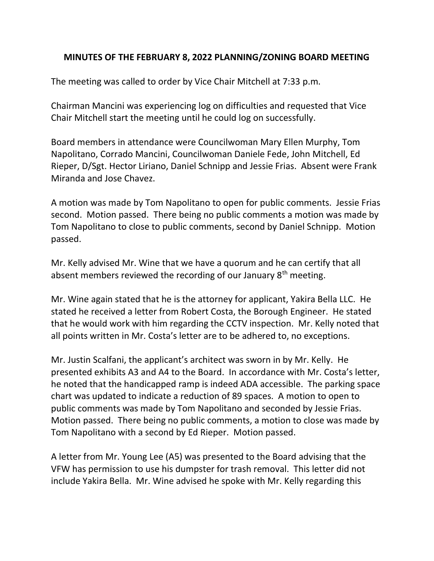## MINUTES OF THE FEBRUARY 8, 2022 PLANNING/ZONING BOARD MEETING

The meeting was called to order by Vice Chair Mitchell at 7:33 p.m.

Chairman Mancini was experiencing log on difficulties and requested that Vice Chair Mitchell start the meeting until he could log on successfully.

Board members in attendance were Councilwoman Mary Ellen Murphy, Tom Napolitano, Corrado Mancini, Councilwoman Daniele Fede, John Mitchell, Ed Rieper, D/Sgt. Hector Liriano, Daniel Schnipp and Jessie Frias. Absent were Frank Miranda and Jose Chavez.

A motion was made by Tom Napolitano to open for public comments. Jessie Frias second. Motion passed. There being no public comments a motion was made by Tom Napolitano to close to public comments, second by Daniel Schnipp. Motion passed.

Mr. Kelly advised Mr. Wine that we have a quorum and he can certify that all absent members reviewed the recording of our January 8<sup>th</sup> meeting.

Mr. Wine again stated that he is the attorney for applicant, Yakira Bella LLC. He stated he received a letter from Robert Costa, the Borough Engineer. He stated that he would work with him regarding the CCTV inspection. Mr. Kelly noted that all points written in Mr. Costa's letter are to be adhered to, no exceptions.

Mr. Justin Scalfani, the applicant's architect was sworn in by Mr. Kelly. He presented exhibits A3 and A4 to the Board. In accordance with Mr. Costa's letter, he noted that the handicapped ramp is indeed ADA accessible. The parking space chart was updated to indicate a reduction of 89 spaces. A motion to open to public comments was made by Tom Napolitano and seconded by Jessie Frias. Motion passed. There being no public comments, a motion to close was made by Tom Napolitano with a second by Ed Rieper. Motion passed.

A letter from Mr. Young Lee (A5) was presented to the Board advising that the VFW has permission to use his dumpster for trash removal. This letter did not include Yakira Bella. Mr. Wine advised he spoke with Mr. Kelly regarding this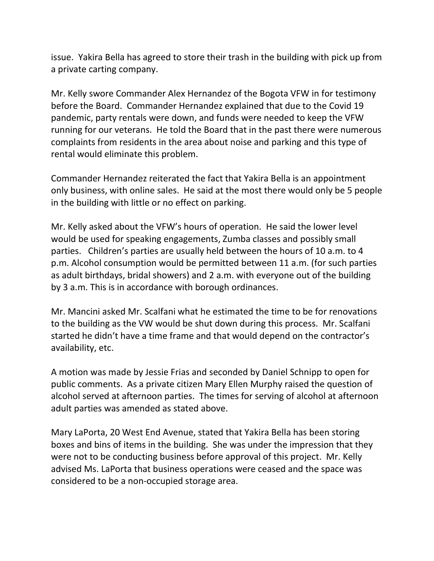issue. Yakira Bella has agreed to store their trash in the building with pick up from a private carting company.

Mr. Kelly swore Commander Alex Hernandez of the Bogota VFW in for testimony before the Board. Commander Hernandez explained that due to the Covid 19 pandemic, party rentals were down, and funds were needed to keep the VFW running for our veterans. He told the Board that in the past there were numerous complaints from residents in the area about noise and parking and this type of rental would eliminate this problem.

Commander Hernandez reiterated the fact that Yakira Bella is an appointment only business, with online sales. He said at the most there would only be 5 people in the building with little or no effect on parking.

Mr. Kelly asked about the VFW's hours of operation. He said the lower level would be used for speaking engagements, Zumba classes and possibly small parties. Children's parties are usually held between the hours of 10 a.m. to 4 p.m. Alcohol consumption would be permitted between 11 a.m. (for such parties as adult birthdays, bridal showers) and 2 a.m. with everyone out of the building by 3 a.m. This is in accordance with borough ordinances.

Mr. Mancini asked Mr. Scalfani what he estimated the time to be for renovations to the building as the VW would be shut down during this process. Mr. Scalfani started he didn't have a time frame and that would depend on the contractor's availability, etc.

A motion was made by Jessie Frias and seconded by Daniel Schnipp to open for public comments. As a private citizen Mary Ellen Murphy raised the question of alcohol served at afternoon parties. The times for serving of alcohol at afternoon adult parties was amended as stated above.

Mary LaPorta, 20 West End Avenue, stated that Yakira Bella has been storing boxes and bins of items in the building. She was under the impression that they were not to be conducting business before approval of this project. Mr. Kelly advised Ms. LaPorta that business operations were ceased and the space was considered to be a non-occupied storage area.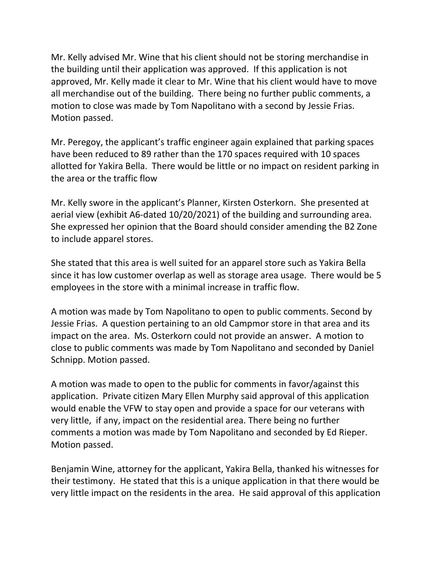Mr. Kelly advised Mr. Wine that his client should not be storing merchandise in the building until their application was approved. If this application is not approved, Mr. Kelly made it clear to Mr. Wine that his client would have to move all merchandise out of the building. There being no further public comments, a motion to close was made by Tom Napolitano with a second by Jessie Frias. Motion passed.

Mr. Peregoy, the applicant's traffic engineer again explained that parking spaces have been reduced to 89 rather than the 170 spaces required with 10 spaces allotted for Yakira Bella. There would be little or no impact on resident parking in the area or the traffic flow

Mr. Kelly swore in the applicant's Planner, Kirsten Osterkorn. She presented at aerial view (exhibit A6-dated 10/20/2021) of the building and surrounding area. She expressed her opinion that the Board should consider amending the B2 Zone to include apparel stores.

She stated that this area is well suited for an apparel store such as Yakira Bella since it has low customer overlap as well as storage area usage. There would be 5 employees in the store with a minimal increase in traffic flow.

A motion was made by Tom Napolitano to open to public comments. Second by Jessie Frias. A question pertaining to an old Campmor store in that area and its impact on the area. Ms. Osterkorn could not provide an answer. A motion to close to public comments was made by Tom Napolitano and seconded by Daniel Schnipp. Motion passed.

A motion was made to open to the public for comments in favor/against this application. Private citizen Mary Ellen Murphy said approval of this application would enable the VFW to stay open and provide a space for our veterans with very little, if any, impact on the residential area. There being no further comments a motion was made by Tom Napolitano and seconded by Ed Rieper. Motion passed.

Benjamin Wine, attorney for the applicant, Yakira Bella, thanked his witnesses for their testimony. He stated that this is a unique application in that there would be very little impact on the residents in the area. He said approval of this application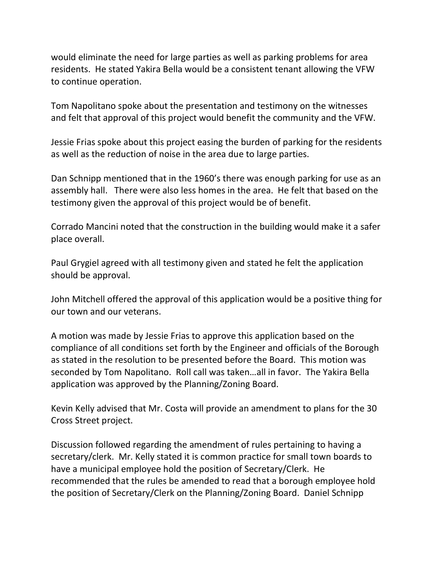would eliminate the need for large parties as well as parking problems for area residents. He stated Yakira Bella would be a consistent tenant allowing the VFW to continue operation.

Tom Napolitano spoke about the presentation and testimony on the witnesses and felt that approval of this project would benefit the community and the VFW.

Jessie Frias spoke about this project easing the burden of parking for the residents as well as the reduction of noise in the area due to large parties.

Dan Schnipp mentioned that in the 1960's there was enough parking for use as an assembly hall. There were also less homes in the area. He felt that based on the testimony given the approval of this project would be of benefit.

Corrado Mancini noted that the construction in the building would make it a safer place overall.

Paul Grygiel agreed with all testimony given and stated he felt the application should be approval.

John Mitchell offered the approval of this application would be a positive thing for our town and our veterans.

A motion was made by Jessie Frias to approve this application based on the compliance of all conditions set forth by the Engineer and officials of the Borough as stated in the resolution to be presented before the Board. This motion was seconded by Tom Napolitano. Roll call was taken…all in favor. The Yakira Bella application was approved by the Planning/Zoning Board.

Kevin Kelly advised that Mr. Costa will provide an amendment to plans for the 30 Cross Street project.

Discussion followed regarding the amendment of rules pertaining to having a secretary/clerk. Mr. Kelly stated it is common practice for small town boards to have a municipal employee hold the position of Secretary/Clerk. He recommended that the rules be amended to read that a borough employee hold the position of Secretary/Clerk on the Planning/Zoning Board. Daniel Schnipp